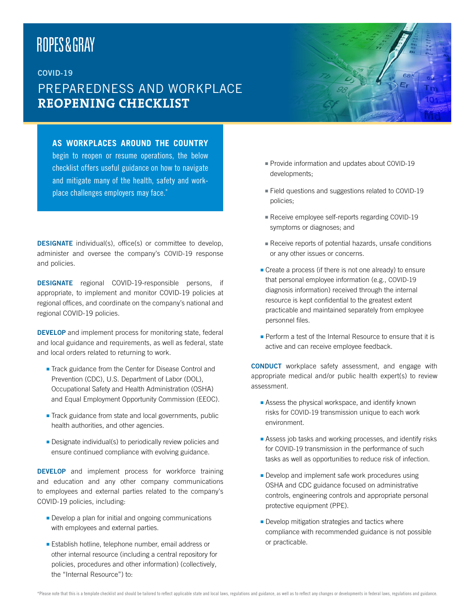# ROPES&GRAY

## COVID-19 PREPAREDNESS AND WORKPLACE **REOPENING CHECKLIST**

### **AS WORKPLACES AROUND THE COUNTRY**

liquibus estem sanima cus eos eati aut evellant

begin to reopen or resume operations, the below checklist offers useful guidance on how to navigate and mitigate many of the health, safety and workplace challenges employers may face.\*

DESIGNATE individual(s), office(s) or committee to develop, administer and oversee the company's COVID-19 response and policies.

DESIGNATE regional COVID-19-responsible persons, if appropriate, to implement and monitor COVID-19 policies at regional offices, and coordinate on the company's national and regional COVID-19 policies.

DEVELOP and implement process for monitoring state, federal and local guidance and requirements, as well as federal, state and local orders related to returning to work.

- Track guidance from the Center for Disease Control and Prevention (CDC), U.S. Department of Labor (DOL), Occupational Safety and Health Administration (OSHA) and Equal Employment Opportunity Commission (EEOC).
- $\blacksquare$  Track guidance from state and local governments, public health authorities, and other agencies.
- $\blacksquare$  Designate individual(s) to periodically review policies and ensure continued compliance with evolving guidance.

**DEVELOP** and implement process for workforce training and education and any other company communications to employees and external parties related to the company's COVID-19 policies, including:

- $\blacksquare$  Develop a plan for initial and ongoing communications with employees and external parties.
- **Establish hotline, telephone number, email address or** other internal resource (including a central repository for policies, procedures and other information) (collectively, the "Internal Resource") to:
- **Provide information and updates about COVID-19** developments;
- Field questions and suggestions related to COVID-19 policies;
- Receive employee self-reports regarding COVID-19 symptoms or diagnoses; and
- <sup>n</sup> Receive reports of potential hazards, unsafe conditions or any other issues or concerns.
- $\blacksquare$  Create a process (if there is not one already) to ensure that personal employee information (e.g., COVID-19 diagnosis information) received through the internal resource is kept confidential to the greatest extent practicable and maintained separately from employee personnel files.
- **Perform a test of the Internal Resource to ensure that it is** active and can receive employee feedback.

**CONDUCT** workplace safety assessment, and engage with appropriate medical and/or public health expert(s) to review assessment.

- $\blacksquare$  Assess the physical workspace, and identify known risks for COVID-19 transmission unique to each work environment.
- **Assess job tasks and working processes, and identify risks** for COVID-19 transmission in the performance of such tasks as well as opportunities to reduce risk of infection.
- $\blacksquare$  Develop and implement safe work procedures using OSHA and CDC guidance focused on administrative controls, engineering controls and appropriate personal protective equipment (PPE).
- $\blacksquare$  Develop mitigation strategies and tactics where compliance with recommended guidance is not possible or practicable.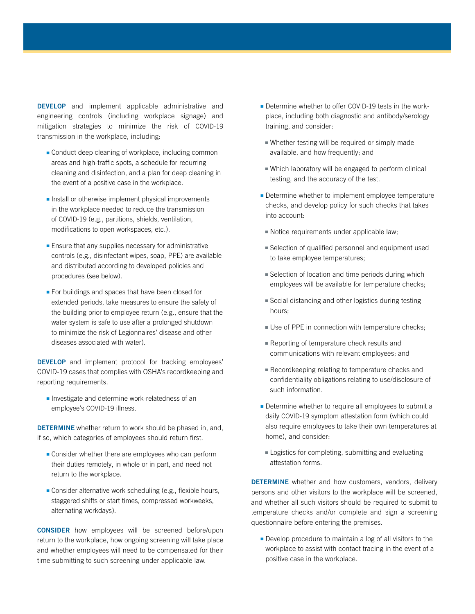**DEVELOP** and implement applicable administrative and engineering controls (including workplace signage) and mitigation strategies to minimize the risk of COVID-19 transmission in the workplace, including:

- $\blacksquare$  Conduct deep cleaning of workplace, including common areas and high-traffic spots, a schedule for recurring cleaning and disinfection, and a plan for deep cleaning in the event of a positive case in the workplace.
- $\blacksquare$  Install or otherwise implement physical improvements in the workplace needed to reduce the transmission of COVID-19 (e.g., partitions, shields, ventilation, modifications to open workspaces, etc.).
- $\blacksquare$  Ensure that any supplies necessary for administrative controls (e.g., disinfectant wipes, soap, PPE) are available and distributed according to developed policies and procedures (see below).
- $\blacksquare$  For buildings and spaces that have been closed for extended periods, take measures to ensure the safety of the building prior to employee return (e.g., ensure that the water system is safe to use after a prolonged shutdown to minimize the risk of Legionnaires' disease and other diseases associated with water).

**DEVELOP** and implement protocol for tracking employees' COVID-19 cases that complies with OSHA's recordkeeping and reporting requirements.

**n** Investigate and determine work-relatedness of an employee's COVID-19 illness.

DETERMINE whether return to work should be phased in, and, if so, which categories of employees should return first.

- $\blacksquare$  Consider whether there are employees who can perform their duties remotely, in whole or in part, and need not return to the workplace.
- $\blacksquare$  Consider alternative work scheduling (e.g., flexible hours, staggered shifts or start times, compressed workweeks, alternating workdays).

CONSIDER how employees will be screened before/upon return to the workplace, how ongoing screening will take place and whether employees will need to be compensated for their time submitting to such screening under applicable law.

- **-** Determine whether to offer COVID-19 tests in the workplace, including both diagnostic and antibody/serology training, and consider:
	- $\blacksquare$  Whether testing will be required or simply made available, and how frequently; and
	- $\blacksquare$  Which laboratory will be engaged to perform clinical testing, and the accuracy of the test.
- **-** Determine whether to implement employee temperature checks, and develop policy for such checks that takes into account:
- $\blacksquare$  Notice requirements under applicable law;
- Selection of qualified personnel and equipment used to take employee temperatures;
- $\blacksquare$  Selection of location and time periods during which employees will be available for temperature checks;
- $\blacksquare$  Social distancing and other logistics during testing hours;
- Use of PPE in connection with temperature checks;
- $\blacksquare$  Reporting of temperature check results and communications with relevant employees; and
- Recordkeeping relating to temperature checks and confidentiality obligations relating to use/disclosure of such information.
- $\blacksquare$  Determine whether to require all employees to submit a daily COVID-19 symptom attestation form (which could also require employees to take their own temperatures at home), and consider:
- $\blacksquare$  Logistics for completing, submitting and evaluating attestation forms.

**DETERMINE** whether and how customers, vendors, delivery persons and other visitors to the workplace will be screened, and whether all such visitors should be required to submit to temperature checks and/or complete and sign a screening questionnaire before entering the premises.

 $\blacksquare$  Develop procedure to maintain a log of all visitors to the workplace to assist with contact tracing in the event of a positive case in the workplace.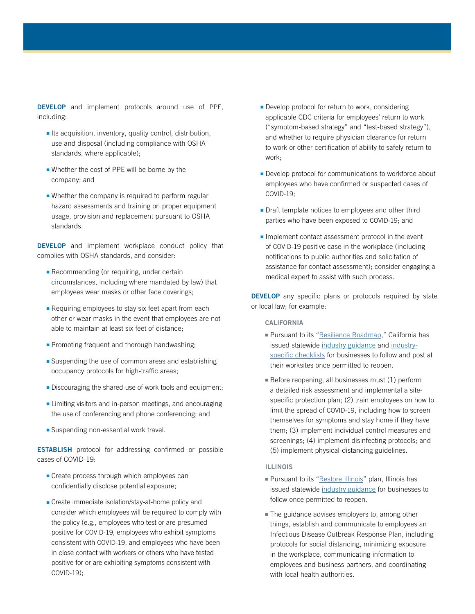DEVELOP and implement protocols around use of PPE, including:

- $\blacksquare$  Its acquisition, inventory, quality control, distribution, use and disposal (including compliance with OSHA standards, where applicable);
- $\blacksquare$  Whether the cost of PPE will be borne by the company; and
- $\blacksquare$  Whether the company is required to perform regular hazard assessments and training on proper equipment usage, provision and replacement pursuant to OSHA standards.

**DEVELOP** and implement workplace conduct policy that complies with OSHA standards, and consider:

- $\blacksquare$  Recommending (or requiring, under certain circumstances, including where mandated by law) that employees wear masks or other face coverings;
- $\blacksquare$  Requiring employees to stay six feet apart from each other or wear masks in the event that employees are not able to maintain at least six feet of distance;
- **Promoting frequent and thorough handwashing;**
- $\blacksquare$  Suspending the use of common areas and establishing occupancy protocols for high-traffic areas;
- **Discouraging the shared use of work tools and equipment;**
- **Example 2** Limiting visitors and in-person meetings, and encouraging the use of conferencing and phone conferencing; and
- **n** Suspending non-essential work travel.

ESTABLISH protocol for addressing confirmed or possible cases of COVID-19:

- $\blacksquare$  Create process through which employees can confidentially disclose potential exposure;
- **Exercise** immediate isolation/stay-at-home policy and consider which employees will be required to comply with the policy (e.g., employees who test or are presumed positive for COVID-19, employees who exhibit symptoms consistent with COVID-19, and employees who have been in close contact with workers or others who have tested positive for or are exhibiting symptoms consistent with COVID-19);
- $\blacksquare$  Develop protocol for return to work, considering applicable CDC criteria for employees' return to work ("symptom-based strategy" and "test-based strategy"), and whether to require physician clearance for return to work or other certification of ability to safely return to work;
- **-** Develop protocol for communications to workforce about employees who have confirmed or suspected cases of COVID-19;
- $\blacksquare$  Draft template notices to employees and other third parties who have been exposed to COVID-19; and
- $\blacksquare$  Implement contact assessment protocol in the event of COVID-19 positive case in the workplace (including notifications to public authorities and solicitation of assistance for contact assessment); consider engaging a medical expert to assist with such process.

**DEVELOP** any specific plans or protocols required by state or local law; for example:

#### CALIFORNIA

- Pursuant to its ["Resilience Roadmap,](https://covid19.ca.gov/roadmap/)" California has issued statewide [industry guidance](https://covid19.ca.gov/industry-guidance/) and [industry](https://covid19.ca.gov/industry-guidance/)[specific checklists](https://covid19.ca.gov/industry-guidance/) for businesses to follow and post at their worksites once permitted to reopen.
- Before reopening, all businesses must (1) perform a detailed risk assessment and implemental a sitespecific protection plan; (2) train employees on how to limit the spread of COVID-19, including how to screen themselves for symptoms and stay home if they have them; (3) implement individual control measures and screenings; (4) implement disinfecting protocols; and (5) implement physical-distancing guidelines.

#### ILLINOIS

- Pursuant to its ["Restore Illinois](http://www.dph.illinois.gov/restore)" plan, Illinois has issued statewide [industry guidance](http://www.dph.illinois.gov/topics-services/diseases-and-conditions/diseases-a-z-list/coronavirus/business-guidance) for businesses to follow once permitted to reopen.
- $\blacksquare$  The guidance advises employers to, among other things, establish and communicate to employees an Infectious Disease Outbreak Response Plan, including protocols for social distancing, minimizing exposure in the workplace, communicating information to employees and business partners, and coordinating with local health authorities.